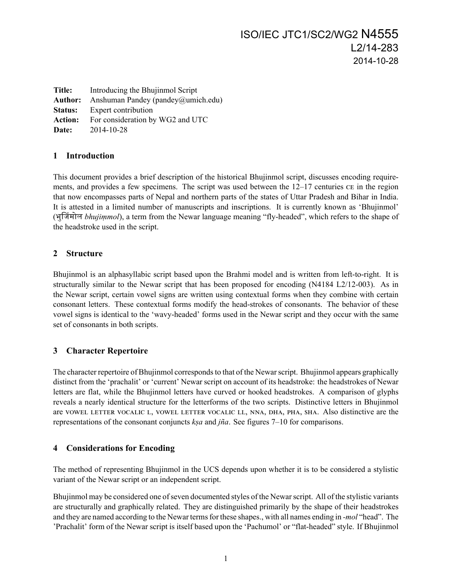**Title:** Introducing the Bhujinmol Script Author: Anshuman Pandey (pandey@umich.edu) **Status:** Expert contribution Action: For consideration by WG2 and UTC **Date:** 2014-10-28

### **1 Introduction**

This document provides a brief description of the historical Bhujinmol script, discusses encoding requirements, and provides a few specimens. The script was used between the  $12-17$  centuries  $c_{\rm E}$  in the region that now encompasses parts of Nepal and northern parts of the states of Uttar Pradesh and Bihar in India. It is attested in a limited number of manuscripts and inscriptions. It is currently known as 'Bhujinmol' (भुᳲजंमोल *bhujiṃmol*), a term from the Newar language meaning "fly-headed", which refers to the shape of the headstroke used in the script.

## **2 Structure**

Bhujinmol is an alphasyllabic script based upon the Brahmi model and is written from left-to-right. It is structurally similar to the Newar script that has been proposed for encoding (N4184 L2/12-003). As in the Newar script, certain vowel signs are written using contextual forms when they combine with certain consonant letters. These contextual forms modify the head-strokes of consonants. The behavior of these vowel signs is identical to the 'wavy-headed' forms used in the Newar script and they occur with the same set of consonants in both scripts.

## **3 Character Repertoire**

The character repertoire of Bhujinmol corresponds to that of the Newar script. Bhujinmol appears graphically distinct from the 'prachalit' or 'current' Newar script on account of its headstroke: the headstrokes of Newar letters are flat, while the Bhujinmol letters have curved or hooked headstrokes. A comparison of glyphs reveals a nearly identical structure for the letterforms of the two scripts. Distinctive letters in Bhujinmol are VOWEL LETTER VOCALIC L, VOWEL LETTER VOCALIC LL, NNA, DHA, PHA, SHA. Also distinctive are the representations of the consonant conjuncts *kṣa* and *jña*. See figures 7–10 for comparisons.

## **4 Considerations for Encoding**

The method of representing Bhujinmol in the UCS depends upon whether it is to be considered a stylistic variant of the Newar script or an independent script.

Bhujinmol may be considered one of seven documented styles of the Newar script. All of the stylistic variants are structurally and graphically related. They are distinguished primarily by the shape of their headstrokes and they are named according to the Newar terms for these shapes., with all names ending in *-mol* "head". The 'Prachalit' form of the Newar script is itself based upon the 'Pachumol' or "flat-headed" style. If Bhujinmol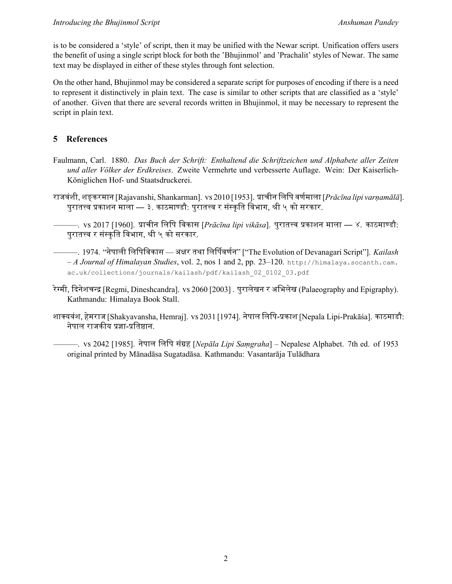is to be considered a 'style' of script, then it may be unified with the Newar script. Unification offers users the benefit of using a single script block for both the 'Bhujinmol' and 'Prachalit' styles of Newar. The same text may be displayed in either of these styles through font selection.

On the other hand, Bhujinmol may be considered a separate script for purposes of encoding if there is a need to represent it distinctively in plain text. The case is similar to other scripts that are classified as a 'style' of another. Given that there are several records written in Bhujinmol, it may be necessary to represent the script in plain text.

# **5 References**

- Faulmann, Carl. 1880. *Das Buch der Schrift: Enthaltend die Schriftzeichen und Alphabete aller Zeiten und aller Völker der Erdkreises*. Zweite Vermehrte und verbesserte Auflage. Wein: Der Kaiserlich-Königlichen Hof- und Staatsdruckerei.
- राजवंशी, शङ्करमान [Rajavanshi, Shankarman]. vs 2010 [1953]. प्राचीन लिपि वर्णमाला [*Prācīna lipi varnamālā*]. पुरातत्त्व प्रकाशन माला — ३. काठमाण्डौ: पुरातत्त्व र संस्कृति विभाग, श्री ५ को सरकार.

———. vs 2017 [1960]. प्राचीन लिपि विकास [*Prācīna lipi vikāsa*]. पुरातत्त्व प्रकाशन माला — ४. काठमाण्डौ: पुरातत्त्व र संस्कृति विभाग, श्री ५ को सरकार.

- ———. 1974. "नेपाली लिपिविकास अक्षर तथा लिर्पिवर्णन" ["The Evolution of Devanagari Script"]. *Kailash – A Journal of Himalayan Studies*, vol. 2, nos 1 and 2, pp. 23–120. http://himalaya.socanth.cam. ac.uk/collections/journals/kailash/pdf/kailash\_02\_0102\_03.pdf
- रेग्मी, दिनेशचन्द्र [Regmi, Dineshcandra]. vs 2060 [2003] . पुरालेखन र अभिलेख (Palaeography and Epigraphy). Kathmandu: Himalaya Book Stall.
- शाक्यवंश, हेमराज [Shakyavansha, Hemraj]. vs 2031 [1974]. नेपाल लिपि-प्रकाश [Nepala Lipi-Prakāśa]. काठमाडौ: नेपाल राजकीय प्रज्ञा-प्रतिष्ठान.

———. 2042 [1985]. नेपाल िलिप संᮕह [*Nepāla Lipi Saṃgraha*] – Nepalese Alphabet. 7th ed. of 1953 original printed by Mānadāsa Sugatadāsa. Kathmandu: Vasantarāja Tulādhara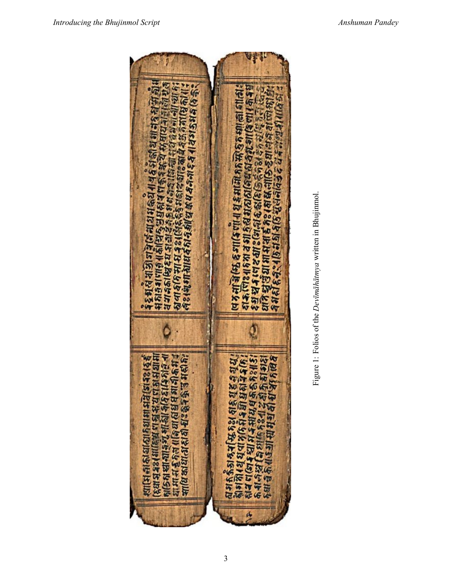

Figure 1: Folios of the Devimahatmya written in Bhujinmol. Figure 1: Folios of the *Devīmāhātmya* written in Bhujinmol.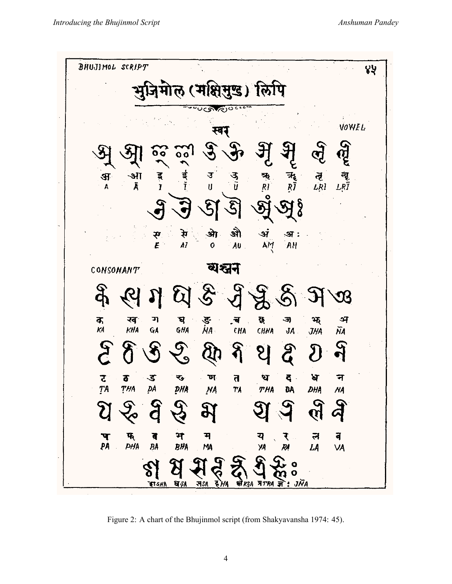

Figure 2: A chart of the Bhujinmol script (from Shakyavansha 1974: 45).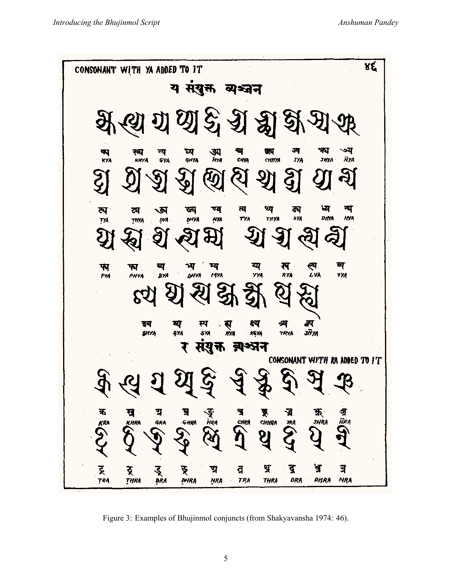४६ CONSONANT WITH YA ADDED TO IT य संयुक्त व्यञ्जन छी हैं श्री  $\mathcal{A}$ ग्य<br>Gya ঘ্য<br>GHYA च्य<br>भाष्ट्र ज्प ক্ষ<br>kya रव्य<br>RHYA ক্স<br>মত্ম ণয द्वय .<br>ЈУА *йу* снихи **JHYA** યુ থ্য<br><sub>711</sub>ya ध्य ना ण्य त्य ন ख्य त्प व्य ্য .<br>dya DHYA **HYA** тиуд DY. dhya **NYA TYA TYA** रू<br>१४४ य्य<br>४४४ ल्य<br>८४४ म्य व्य ब्य ਆ੍ਰ फ्ग भ्य **VYA DHYA** PV4 PHYA **BYA** MYA Q  $\mathcal{E}$ इय य म्प स्<br>#XA क्ष्य न्म उँग ŞÝĄ sya ke ya **TRYA JHYA**  $812A$ ब्रश्तन मराक्त CONSONANT WITH RA ADDED TO IT IJ. 玉<br>JHRA ক্রু<br>সংগ 下<br>Chiira क ए घ ₹ ञ्ज, কু ŇRA GRA **G HRA** KHRA **CHRA** 3RA KRA ठू<br>*THRA*  $\mathbf{y}$ दू श्र त्र ट्र डू<br>श्रेष ङ् đ ण्र **TRA TRA** DRA **DHRA NRA DHRA THRA** ŅRA

Figure 3: Examples of Bhujinmol conjuncts (from Shakyavansha 1974: 46).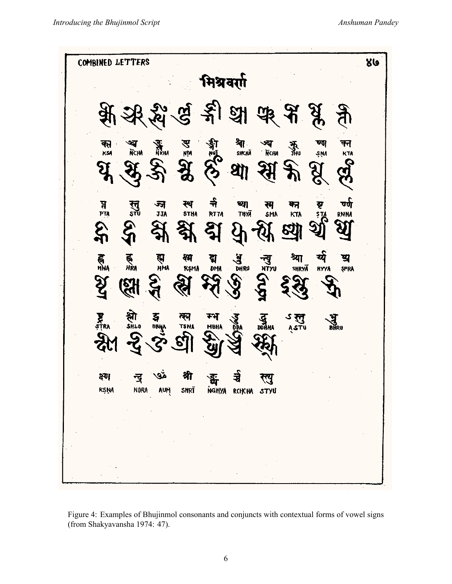

Figure 4: Examples of Bhujinmol consonants and conjuncts with contextual forms of vowel signs (from Shakyavansha 1974: 47).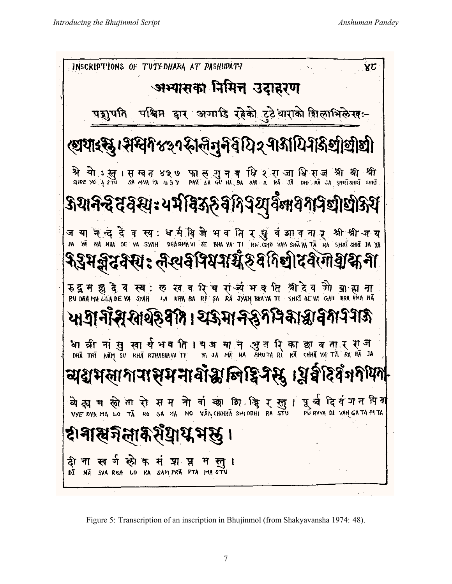

Figure 5: Transcription of an inscription in Bhujinmol (from Shakyavansha 1974: 48).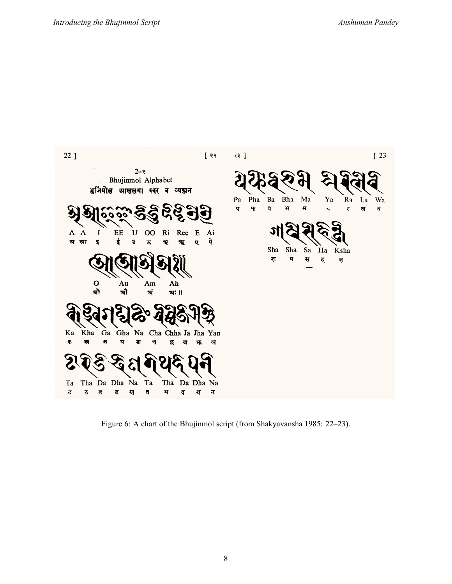

Figure 6: A chart of the Bhujinmol script (from Shakyavansha 1985: 22–23).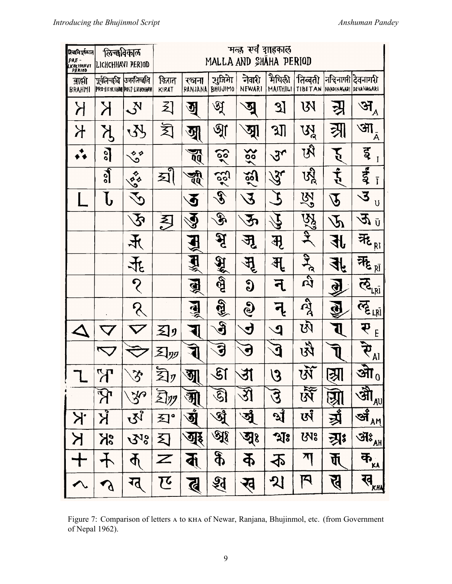| निकविपूर्वकाल<br>PRE-<br><b>LICHCHHAVI</b><br>PERIOD | किच्छविकाल<br>LICHCHHAVI PERIOD  |                             |                  |                                        |                                   | मल्ह सर्व गाहकाल<br>MALLA AND SHAHA PERIOD |                           |                                 |                                |                                                                                                                                                                                                                                                                                                                                                                             |
|------------------------------------------------------|----------------------------------|-----------------------------|------------------|----------------------------------------|-----------------------------------|--------------------------------------------|---------------------------|---------------------------------|--------------------------------|-----------------------------------------------------------------------------------------------------------------------------------------------------------------------------------------------------------------------------------------------------------------------------------------------------------------------------------------------------------------------------|
| बाली<br><b>BRAHMI</b>                                | पूर्वनिन्द्धवि  उनरन्स्विवि      | PRO-LICHCHHM POST-LICHOHAW  | किरात<br>KIRAT   | रञ्जना<br>RANJANA                      | सुजिमा<br><b>BHUJIMO</b>          | नेवारी<br><b>NEWARI</b>                    | मैथिली<br><b>MAITHILI</b> | तिब्बती                         | TIBETAN NAHDINAGARI DEVANAGARI | नन्दिनागरी देवनागरी                                                                                                                                                                                                                                                                                                                                                         |
| $\boldsymbol{\lambda}$                               | Ж                                | $\mathcal{S}^{\text{N}}$    | 习                | ন্ত্ৰ                                  | ঔ্ম                               | জু                                         | <u>ઝ</u>                  | W                               |                                | अ $\frac{1}{4}$                                                                                                                                                                                                                                                                                                                                                             |
| $\overline{A}$                                       |                                  | <b>SL</b>                   | 闵                | <u>जु</u>                              | $\mathfrak{A}$                    | ञ्ज्                                       | ગ્રી                      | УĂ                              |                                | आ<br>A                                                                                                                                                                                                                                                                                                                                                                      |
|                                                      | <u>ो</u>                         | $\mathcal{S}^{\phi}$        |                  | $\mathbf{z}$                           | ဢ                                 | $\frac{28}{2}$                             | $3\mathsf{L}$             | Ŵ                               |                                | ड्र<br>I                                                                                                                                                                                                                                                                                                                                                                    |
|                                                      | $\overline{\mathcal{C}}$         | <b>SSS</b>                  | হ্ৰী             | च्<br>पुर                              | 22)                               | $\frac{1}{25}$                             | $\mathscr{S}$             | <u>ស្ត្រី</u>                   | $\mathbf{\mathring{5}}$        | इंद<br>Ī                                                                                                                                                                                                                                                                                                                                                                    |
|                                                      | ${\bf b}$                        |                             |                  | $\bf \Phi$                             | $\mathscr{E}$                     | 3                                          |                           | 吟                               | $\widehat{\bm{P}}$             | $\tilde{\mathbf{z}}$<br>U                                                                                                                                                                                                                                                                                                                                                   |
|                                                      |                                  | $\mathcal{\tilde{S}}$       | 习                | $\tilde{\bm{\vartheta}}$               | $\mathscr{F}$                     | $\mathbf{r}$                               |                           | <b>Respect</b>                  | $\tilde{\mathcal{P}}$          | $\mathfrak{P}$ i                                                                                                                                                                                                                                                                                                                                                            |
|                                                      |                                  | 大                           |                  | H                                      | $\mathcal{\tilde{B}}$             | ज्ञृ                                       | मृ                        |                                 | <b>Ext</b>                     | 无                                                                                                                                                                                                                                                                                                                                                                           |
|                                                      |                                  | 飞                           |                  | $\hat{H}^*_{\!\scriptscriptstyle \gg}$ | $\frac{1}{2}$                     | $\mathbb{R}^1$                             | अ्                        | $\frac{1}{2}$                   | $\overline{4}$                 | नेहु यो                                                                                                                                                                                                                                                                                                                                                                     |
|                                                      |                                  | $\mathcal{S}_{\mathcal{C}}$ |                  | $\mathbf{B}$                           | $\dot{\widehat{\mathfrak{g}}}$    | $\bf \Omega$                               | न्                        | $\overline{\mathbf{r}}$         | ⋪                              | $\mathcal{Q}^{\vec{[k]}}$                                                                                                                                                                                                                                                                                                                                                   |
|                                                      |                                  | $\mathcal S$                |                  | ्री                                    | $\langle \hat{q} \hat{B} \rangle$ | $\mathcal{C}$                              |                           | $\bar{\hat{\beta}}$             |                                | <b>CELINI</b>                                                                                                                                                                                                                                                                                                                                                               |
|                                                      |                                  |                             | 习                |                                        | S                                 | $\bigcup$                                  | 9                         | $\vec{\mathfrak{B}}$            |                                | P<br>E                                                                                                                                                                                                                                                                                                                                                                      |
|                                                      |                                  |                             | 习叨               | 1                                      | 3                                 |                                            | ₫                         | ঐ                               |                                | $\tilde{\mathbf{F}}_{\underline{\mathsf{A}}\underline{\mathsf{B}}}$                                                                                                                                                                                                                                                                                                         |
|                                                      | $\gamma$                         | $\Im$                       | 习                | अ्                                     | S                                 | उा                                         | $\bm{\mathcal{S}}$        | У                               | स्रा                           | <u>औ<math>\frac{1}{2}</math></u>                                                                                                                                                                                                                                                                                                                                            |
|                                                      | $\bm{\widehat{R}}$               | <b>JP</b>                   | 动                | M                                      | <u>ଟି</u>                         | $\mathfrak{F}% _{0}^{\prime}(\vec{r})$     | उ                         | $\overline{\mathbf{\tilde{N}}}$ | <u>ञ्जा</u>                    | $\begin{picture}(220,20) \put(0,0){\vector(1,0){10}} \put(15,0){\vector(1,0){10}} \put(15,0){\vector(1,0){10}} \put(15,0){\vector(1,0){10}} \put(15,0){\vector(1,0){10}} \put(15,0){\vector(1,0){10}} \put(15,0){\vector(1,0){10}} \put(15,0){\vector(1,0){10}} \put(15,0){\vector(1,0){10}} \put(15,0){\vector(1,0){10}} \put(15,0){\vector(1,0){10}} \put(15,0){\vector($ |
| Ķ.                                                   | $\boldsymbol{\overline{\Sigma}}$ | $U\sqrt{3}$                 | 习°               | <u>जुं</u>                             | <b>Ri</b>                         | ৾ৠ                                         | श्रै                      | থেঁ                             | ब्रैं                          | $\frac{\partial \overline{\mathbf{H}}_{\mathbf{A}^{\prime \prime}}}{\mathbf{H}}$                                                                                                                                                                                                                                                                                            |
| K                                                    | SK                               | <b>S18</b>                  | 习                | अूह                                    | All                               | জুঃ                                        | $\mathfrak{A}$            | ស្រះ                            | <u>त्री</u>                    | $\widehat{\mathfrak{R}^*_{\text{AH}}}$                                                                                                                                                                                                                                                                                                                                      |
| ╈                                                    |                                  | $\mathbf{\Psi}$             | $\boldsymbol{Z}$ | $\sum_{i=1}^{n}$                       | <b>JO</b>                         | $\boldsymbol{\Phi}$                        | 尘                         | $\overline{\mathcal{M}}$        | र्जे                           | के $\frac{1}{\sqrt{2}}$                                                                                                                                                                                                                                                                                                                                                     |
|                                                      | $\mathcal{L}$                    | ग्तू                        | で                | ब्                                     | र्वु                              | ख                                          | श्र                       | $\bm{\mathsf{F}}$               | पु                             | रव $\frac{1}{\mathcal{K}^H}$                                                                                                                                                                                                                                                                                                                                                |

Figure 7: Comparison of letters A to KHA of Newar, Ranjana, Bhujinmol, etc. (from Government of Nepal 1962).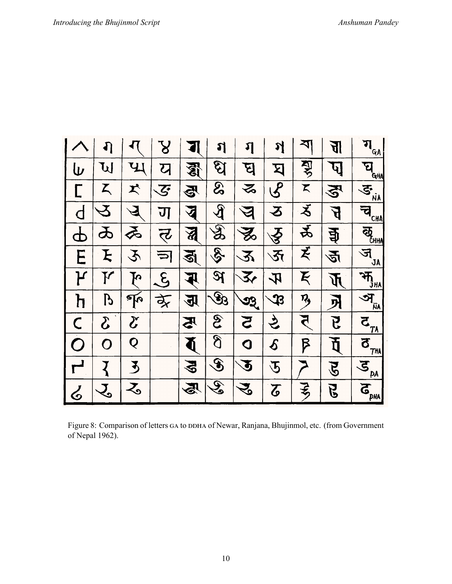|                         |                            |                            | ${\bf 8}$                |                   | រា                                 | ฦ                  | স                              | <b>Z</b>     | F                       | $\mathbf{H}_{\underline{\hat{\alpha}}\underline{\hat{\beta}}}$ |
|-------------------------|----------------------------|----------------------------|--------------------------|-------------------|------------------------------------|--------------------|--------------------------------|--------------|-------------------------|----------------------------------------------------------------|
| W                       | W                          | ЧJ                         | य                        | 修                 | ପି                                 | घु                 | 习                              | 罗            | प]                      | घ<br>GHA                                                       |
|                         | Z                          | K                          | $\overline{\mathcal{S}}$ | FS<br>1           | <b>SS</b>                          | る                  | $\mathcal{S}$                  | K            | $\mathbf{P}_\mathbf{C}$ | $\tilde{\mathbf{e}}$<br>ÑÀ                                     |
| $\bm \cap$              | Y                          |                            | ण                        | $\Delta$          | $\mathbf{\mathfrak{F}}$            |                    | ろ                              | え            | $\boldsymbol{H}$        | च <sub>CHA)</sub>                                              |
| I                       | D                          | ゑ                          | त्ट                      | $\mathbf{\Sigma}$ | $\overline{\mathbf{\mathfrak{F}}}$ | 多                  | $\tilde{\mathbf{\mathcal{S}}}$ | र्द्र        | च्चे                    | $\bar{\mathbf{z}}_{\mathbf{y}}$                                |
| E                       | F                          | 3                          | $\Rightarrow$            | ৰ্থ্ৰ             | Ş.                                 | 3                  | $\overline{\mathbf{3}}$        | 支            | ৰ্ত্তা                  | ज<br><b>JA</b>                                                 |
| ዦ                       | ${\mathbf K}$              | ҇Ӎ                         | $\bm{\mathcal{E}}$       | र                 | $\partial f$                       | $\mathbf{z}$       | 吇                              | Ķ            | $\mathbf{\Psi}$         | $\bar{m}_{\bar{j}_{\text{H}\text{A}}}$                         |
| ከ                       | $\bm{\beta}$               | $\Phi$                     | र्द्र                    | 下                 | $\mathbf{\mathscr{B}}$             | $-22$              | $\bf \mathfrak P$              | $\eta,$      | 外                       | প<br>.<br>Na                                                   |
| $\overline{\mathsf{C}}$ | $\boldsymbol{\mathcal{S}}$ | $\boldsymbol{\mathcal{E}}$ |                          | FS                | $\mathfrak{S}$                     | 3                  | さ                              | त            | $\mathbf{B}$            | $\overline{c}_{\frac{7A}{2}}$                                  |
| $\bigcap$               | Ω                          | Q                          |                          | $\blacklozenge$   | <b>S</b>                           | Q                  | $\boldsymbol{\delta}$          | $\bm{\beta}$ | 页                       | $\bar{\sigma}_{\frac{m}{2}}$                                   |
|                         |                            | $\mathbf{r}$               |                          | $\mathbf{P}$      | $\mathbf{\mathscr{F}}$             | $\boldsymbol{P}$   | $\widetilde{\mathcal{L}}$      |              | ${\bf \hat{z}}$         | $\overline{S}_{\underline{p}\underline{A}}$                    |
| ර                       | र<br>२                     | る                          |                          | 忍                 | $\overline{\mathcal{E}}$           | $\hat{\mathbf{S}}$ | $\boldsymbol{\mathcal{S}}$     | そっ           | Ę                       | $\bar{a}_{\text{pwa}}$                                         |

Figure 8: Comparison of letters GA to DDHA of Newar, Ranjana, Bhujinmol, etc. (from Government of Nepal 1962).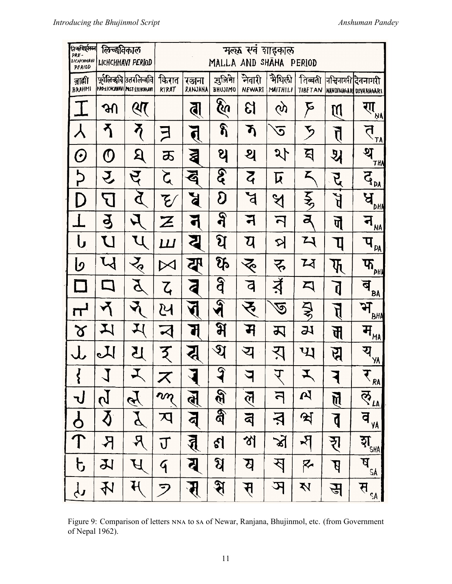| तिन्दविपूर्वतम्ब<br>PRE-<br>ПСНСИНАЧІ<br>PFRIOD | लिच्छनिकाल                                                 | LICHCHHAVI PERIOD                                           |                               | मल्ल सर्वे शाइकाल<br>MALLA AND SHAHA PERIOD |                            |                        |                         |                                 |                           |                                                   |  |  |
|-------------------------------------------------|------------------------------------------------------------|-------------------------------------------------------------|-------------------------------|---------------------------------------------|----------------------------|------------------------|-------------------------|---------------------------------|---------------------------|---------------------------------------------------|--|--|
| ब्राह्मी<br><b>BRAHMI</b>                       |                                                            | पूर्वलिन्कवि उत्तरलिन्कवि <br>PROLICHCUUNNI PAST-LICHCHHAVI | किरात<br>KIRAT                | रञ्जना<br>RANJANA                           | सुजिमा<br><b>BHUJIMO</b>   | नेवारी<br>NEWARI       | भैथिली<br>MAITHILI      | तिब्बती<br><b>TIBETAN</b>       |                           | नन्धिनागरी दिवनागरी<br>WANDINAGARI DEVANAGARI     |  |  |
|                                                 | ॴ                                                          | श्प                                                         |                               | <b>ब</b>                                    | <b>हैते</b>                | ଧି                     | <u>(</u> )              | $\bm{\triangleright}$           | <u>โป</u>                 | रा ।<br>अ                                         |  |  |
|                                                 | ሻ                                                          |                                                             | コ                             | त्                                          | န                          | ኽ                      | $\overline{\mathbf{c}}$ | ち                               | त्                        | $\Delta$ $\overline{A}$                           |  |  |
| $\boldsymbol{\left(\cdot\right)}$               | $\pmb{\mathcal{O}}$                                        | $\mathbf S$                                                 | ま                             | 2                                           | ႘                          | থ                      | $\mathcal{J}$           | হ                               | ऄ                         | थ<br><b>THA</b>                                   |  |  |
| 5<br>P                                          | $\hat{\mathbf{r}}$                                         | ट्                                                          | $\boldsymbol{\zeta}$          | අ                                           | <u>द्रु</u>                | $\overline{z}$         | $\bm{\overline{\mu}}$   | Z                               | R                         | $\bar{d}_{\underline{p_{\underline{M}}}},$        |  |  |
|                                                 | $\sum$                                                     | $\mathbf{p}$                                                | $\overline{\mathcal{E}}$      | E                                           | $\boldsymbol{\mathcal{S}}$ | ਖ਼                     | $\mathcal{A}$           | $\frac{1}{2}$                   | F<br>F                    | $\mathbf{A}$                                      |  |  |
|                                                 | $\mathbf{B}$                                               |                                                             | $\boldsymbol{\boldsymbol{Z}}$ |                                             | $\mathbf{R}$               |                        | $\overline{\mathsf{d}}$ | ब                               | पॆ                        | ने $\frac{1}{M}$                                  |  |  |
| し                                               | U                                                          |                                                             | $\bm{L}\bm{I}$                |                                             | थि                         | य                      | R                       | ひ                               | Ц                         | $\mathbf{q}_{\underline{p_{A}}}$                  |  |  |
| b                                               | $\boldsymbol{\mathcal{U}}$                                 | $\zeta$                                                     |                               | 瓜                                           | $\mathfrak{P}_0$           | रू                     | रू                      | $\mathbf{z}$                    | फ्                        | $\mathbf{F}_{\text{max}}$                         |  |  |
|                                                 | $\Box$                                                     |                                                             | $\mathsf{Z}_\mathsf{t}$       | 4                                           | $\overline{\mathbf{S}}$    | þ                      | 才                       | 囗                               | Þ                         | ब<br>BĄ                                           |  |  |
| $\mathbf{r}$                                    |                                                            | $\blacktriangledown$                                        | <u> 24</u>                    | $\blacklozenge$                             | $\widehat{\mathcal{A}}$    | 9                      | ত্ত                     | $\frac{1}{2}$                   | f                         | $\mathbf{P}_{\mathbf{B}^{\mathsf{H}} \mathbf{A}}$ |  |  |
| $\alpha$                                        | IJ                                                         |                                                             |                               | 1                                           | भ                          | Ĥ                      | 万                       | 21                              | प                         | $H_{\text{MA}}$                                   |  |  |
|                                                 |                                                            | 15                                                          | $\mathcal{F}_{\mathcal{A}}$   | Ę                                           | থ                          | य                      | रा                      | $\mathfrak{P}$                  | <u>प्त</u>                | य <sub>%)</sub>                                   |  |  |
| $\left\{ \right.$                               |                                                            |                                                             | ズ                             |                                             | $\mathcal{F}$              | प                      | $\Delta$                | Y,                              |                           | $\bar{\mathcal{F}}_{\text{RA}}$                   |  |  |
| <b>J</b>                                        | $\tilde{b}$                                                | E                                                           | m                             | र्वे                                        | $\overline{\mathscr{E}}$   | $\tilde{\mathfrak{h}}$ | $\overline{\mathsf{d}}$ | $\mathbf{z}$                    | $\overline{\mathfrak{h}}$ | ल् $\frac{1}{\sqrt{2}}$                           |  |  |
| $rac{1}{\sqrt{1}}$                              | $\boldsymbol{\mathcal{\bar{S}}}$                           | $\bm{Z}$                                                    | 又                             | ন্ব                                         | $\delta \hat{q}$           | $\mathbf{z}$           | Ķ                       | श्रे                            | $\overline{\mathfrak{g}}$ | व<br><b>YA</b>                                    |  |  |
|                                                 | $\mathsf{R}% _{\mathsf{C}}\left( t\right) \left( t\right)$ | Ŗ                                                           | $\overline{\mathsf{U}}$       | $\sum_{i=1}^{n}$                            | ६।                         | 껛                      | $\mathbf{\tilde{x}}$    | $\mathcal{F}_{\!\!\mathcal{F}}$ | रा                        | इा $\frac{1}{\sin \theta}$                        |  |  |
| $\mathfrak b$                                   | 又                                                          |                                                             | $\mathcal{F}_{\mathcal{A}}$   | ब                                           | থি                         | ষ                      | स्                      | $\overline{\mathcal{R}}$        | $\beta$                   | $\bar{B}_{\underline{S}\underline{A}}$            |  |  |
| $\overline{\mathbf{r}}$                         | 孙                                                          | $\overline{\mathcal{H}}$                                    | 7                             | र्                                          | <u> श्र</u>                | स्                     | प्र                     | Ņ                               | $\hat{\mathbf{H}}$        | स $\overline{\mathbf{H}}_{\mathsf{SA}}$ ,         |  |  |

Figure 9: Comparison of letters NNA to sa of Newar, Ranjana, Bhujinmol, etc. (from Government of Nepal 1962).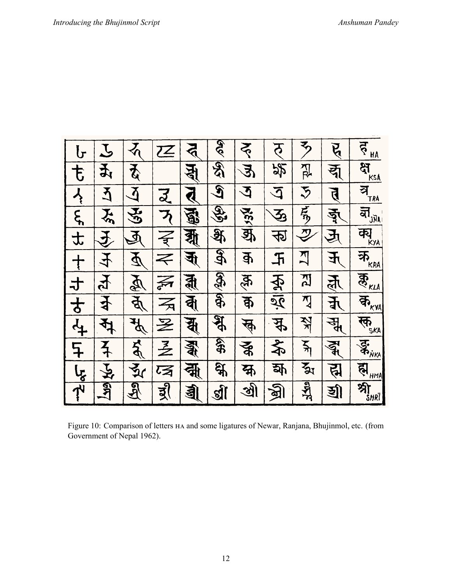| $\mathbf{b}$             |                    | $\mathcal{L}_{\mathbf{Q}}$                         | $\mathcal{\overline{Z}}$    | $\mathbf{S}$    | हरू<br>वि                 | $\bm{\breve{\xi}}$ | $\overline{5}$             | $\overline{\mathbf{z}}$                                                                                         | पू                   | ढ़<br><b>HA</b>                                              |
|--------------------------|--------------------|----------------------------------------------------|-----------------------------|-----------------|---------------------------|--------------------|----------------------------|-----------------------------------------------------------------------------------------------------------------|----------------------|--------------------------------------------------------------|
| 专                        | 玉                  | $\overline{\bm{\tilde{\zeta}}}$                    |                             | ह्य             | र्वे<br>विद               | $\mathfrak{F}$     | 努                          | $\sum_{n=1}^{\infty}$                                                                                           | द्य                  | $\frac{1}{\sqrt{2}}$                                         |
| $\overline{\mathcal{X}}$ | 乙                  | $\bf\vec{\Delta}$                                  | $\overline{z}$              | ₫               | $\overline{\mathbf{S}}$   | ঽ                  | $\overline{\mathcal{L}}$   | $\tilde{\mathcal{S}}$                                                                                           | त्                   | ञ $\frac{1}{T}$                                              |
| $\overline{\xi}$         | $\sum_{n}$         | <b>AS</b>                                          | $\mathcal{F}_{\mathcal{C}}$ | 图               | $\mathscr{F}$             | 1756               | $\mathbf{\bar{3}}$         | 馬                                                                                                               | ङ्गु                 | ब्री $\frac{1}{2}$                                           |
| 士                        | $\hat{\mathbf{P}}$ | $\tilde{P}$                                        | $\vec{z}$                   | बा              | <b>A</b>                  | क्र                | ক্য                        | $\mathcal{Y}% _{M_{1},M_{2}}^{\alpha,\beta}(\varepsilon)=\mathcal{P}_{M_{1},M_{2}}^{\alpha,\beta}(\varepsilon)$ | $\mathbf{\tilde{P}}$ | $\overline{P}$                                               |
| $\frac{1}{\sqrt{2}}$     | 4                  | $\boldsymbol{\varPsi}$                             | $\Leftarrow$                | $\mathbf{\Phi}$ | $\mathfrak{F}$            | कु                 | 玉                          | <u>지</u>                                                                                                        | $\mathfrak{F}% _{0}$ | 环                                                            |
| 寸                        | 下                  | $\tilde{\mathcal{P}}$                              | F                           | द्गी            | E                         | क्ल                | $\overline{\mathbf{\Phi}}$ | 인                                                                                                               | <u>र्तू</u>          |                                                              |
| $\overline{t}$           | $\frac{1}{2}$      | क्                                                 | 云                           | र्वे।           | $\overline{\mathfrak{F}}$ | क्र                | $\frac{1}{2}$              | $\sum_{i=1}^{n}$                                                                                                | र्ने                 | কী $\frac{1}{2}$                                             |
| $\overline{4}$           | र्फ                | $\tilde{\mathbf{r}}$                               | 圣                           | यू              | श्र                       | क्                 | $\frac{4}{5}$              | <b>KK</b>                                                                                                       | सू                   | $\overline{\mathbf{F}}_{\mathbf{S}_{\mathcal{K}\mathbf{A}}}$ |
| $\overline{F}$           | $\frac{1}{4}$      | $\Delta$                                           | $\bar{\mathcal{Z}}$         | द्भ<br>वी       | 39                        | る                  | $\bigstar$                 | $\sum_{i=1}^{n}$                                                                                                | ৰ্ন্ধু               | <b>SANKA</b>                                                 |
| $I_{\zeta}$              | と                  | र्<br>दूर                                          | 环                           | क्स्            | $\overline{\mathfrak{F}}$ | क्र                | क्र                        | र्दू $\mathbf{x}$                                                                                               | प्त्र                | ह्म<br><u>HMA</u>                                            |
| $\overline{\vec{r}}$     | <b>AAT</b>         | $\mathfrak{A}% _{0}=\mathfrak{B}_{\mathbb{C}}^{0}$ | द्र्                        | बु              | ब्री                      | <u>औ</u>           | প্ৰী                       | $\frac{1}{2}$                                                                                                   | হ্রী                 | श्री (अर्                                                    |

Figure 10: Comparison of letters HA and some ligatures of Newar, Ranjana, Bhujinmol, etc. (from Government of Nepal 1962).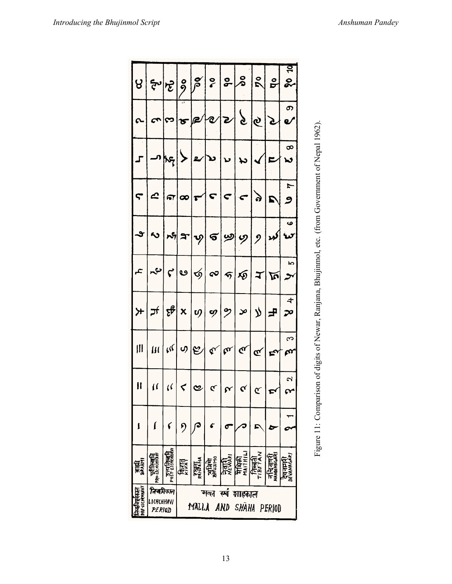|                                                                                                                                                                                                                                                                                                                                                                                                                                                                                          |        |                   |                       |                        |  | $\frac{1}{2} \left  \frac{1}{2} \right  \left  \frac{1}{2} \right  \left  \frac{1}{2} \right  \left  \frac{1}{2} \right  \left  \frac{1}{2} \right  \left  \frac{1}{2} \right  \left  \frac{1}{2} \right  \left  \frac{1}{2} \right  \left  \frac{1}{2} \right  \left  \frac{1}{2} \right  \left  \frac{1}{2} \right  \left  \frac{1}{2} \right  \left  \frac{1}{2} \right  \left  \frac{1}{2} \right  \left  \frac{1}{2} \right  \left  \frac{1}{2} \right  \left  \frac$ |
|------------------------------------------------------------------------------------------------------------------------------------------------------------------------------------------------------------------------------------------------------------------------------------------------------------------------------------------------------------------------------------------------------------------------------------------------------------------------------------------|--------|-------------------|-----------------------|------------------------|--|----------------------------------------------------------------------------------------------------------------------------------------------------------------------------------------------------------------------------------------------------------------------------------------------------------------------------------------------------------------------------------------------------------------------------------------------------------------------------|
| 20000000000000                                                                                                                                                                                                                                                                                                                                                                                                                                                                           |        |                   |                       |                        |  |                                                                                                                                                                                                                                                                                                                                                                                                                                                                            |
|                                                                                                                                                                                                                                                                                                                                                                                                                                                                                          |        |                   |                       |                        |  |                                                                                                                                                                                                                                                                                                                                                                                                                                                                            |
|                                                                                                                                                                                                                                                                                                                                                                                                                                                                                          |        |                   |                       |                        |  |                                                                                                                                                                                                                                                                                                                                                                                                                                                                            |
| $\begin{vmatrix} 1 & 0 & 0 \\ 0 & 0 & 0 \\ 0 & 0 & 0 \\ 0 & 0 & 0 \\ 0 & 0 & 0 \\ 0 & 0 & 0 \\ 0 & 0 & 0 \\ 0 & 0 & 0 & 0 \\ 0 & 0 & 0 & 0 \\ 0 & 0 & 0 & 0 \\ 0 & 0 & 0 & 0 \\ 0 & 0 & 0 & 0 & 0 \\ 0 & 0 & 0 & 0 & 0 \\ 0 & 0 & 0 & 0 & 0 \\ 0 & 0 & 0 & 0 & 0 & 0 \\ 0 & 0 & 0 & 0 & 0 & 0 \\ 0 & 0 & 0 & 0 & 0 & 0 \\ 0 & $                                                                                                                                                          |        |                   |                       |                        |  |                                                                                                                                                                                                                                                                                                                                                                                                                                                                            |
| $\mathcal{L} \left  \mathcal{L} \right  \mathcal{L} \left  \mathcal{L} \right  \mathcal{L} \left  \mathcal{L} \right  \mathcal{L} \left  \mathcal{L} \right  \mathcal{L} \left  \mathcal{L} \right  \mathcal{L} \left  \mathcal{L} \right  \mathcal{L} \left  \mathcal{L} \right  \mathcal{L}$                                                                                                                                                                                           |        |                   |                       |                        |  |                                                                                                                                                                                                                                                                                                                                                                                                                                                                            |
| $\mathcal{F}\left \mathcal{F}\right \left \mathcal{E}\right \times\left \mathcal{P}\right \approx\left \mathcal{P}\right \left \mathcal{P}\right \left \mathcal{F}\right \rightarrow\left \mathcal{F}\right \rightarrow\infty$                                                                                                                                                                                                                                                           |        |                   |                       |                        |  |                                                                                                                                                                                                                                                                                                                                                                                                                                                                            |
| $\Bigg \text{If}\Bigg \text{If}\Bigg \text{If}\Bigg \text{If}\Bigg \text{If}\Bigg \text{If}\Bigg \text{If}\Bigg \text{If}\Bigg \text{If}\Bigg \text{If}\Bigg \text{If}\Bigg \text{If}\Bigg \text{If}\Bigg \text{If}\Bigg \text{If}\Bigg \text{If}\Bigg \text{If}\Bigg \text{If}\Bigg \text{If}\Bigg \text{If}\Bigg \text{If}\Bigg \text{If}\Bigg \text{If}\Bigg \text{If}\Bigg \text{If}\Bigg \text{If}\Bigg \text{If}\Bigg \text{If}\Bigg \text{If}\Bigg \text{If}\Bigg \text{If}\Bigg$ |        |                   |                       |                        |  |                                                                                                                                                                                                                                                                                                                                                                                                                                                                            |
| $\  \cdot \  \cdot \ _{\alpha}$ $\leq$ $  \cdot   \cdot  _{\alpha}$ $  \cdot  _{\alpha}$                                                                                                                                                                                                                                                                                                                                                                                                 |        |                   |                       |                        |  |                                                                                                                                                                                                                                                                                                                                                                                                                                                                            |
|                                                                                                                                                                                                                                                                                                                                                                                                                                                                                          |        |                   |                       |                        |  |                                                                                                                                                                                                                                                                                                                                                                                                                                                                            |
|                                                                                                                                                                                                                                                                                                                                                                                                                                                                                          | प्रिया | नुके<br>मुखे      | <b>Jali</b><br>Mewiri | MAITHIL<br>में प्रेली  |  |                                                                                                                                                                                                                                                                                                                                                                                                                                                                            |
| निबविकान<br>LICHCHHAVI<br>PERIOD                                                                                                                                                                                                                                                                                                                                                                                                                                                         |        | मन्त<br>MALLA AND | स्प्वं                | ञाहकाल<br>SHAHA PERIOD |  |                                                                                                                                                                                                                                                                                                                                                                                                                                                                            |



13